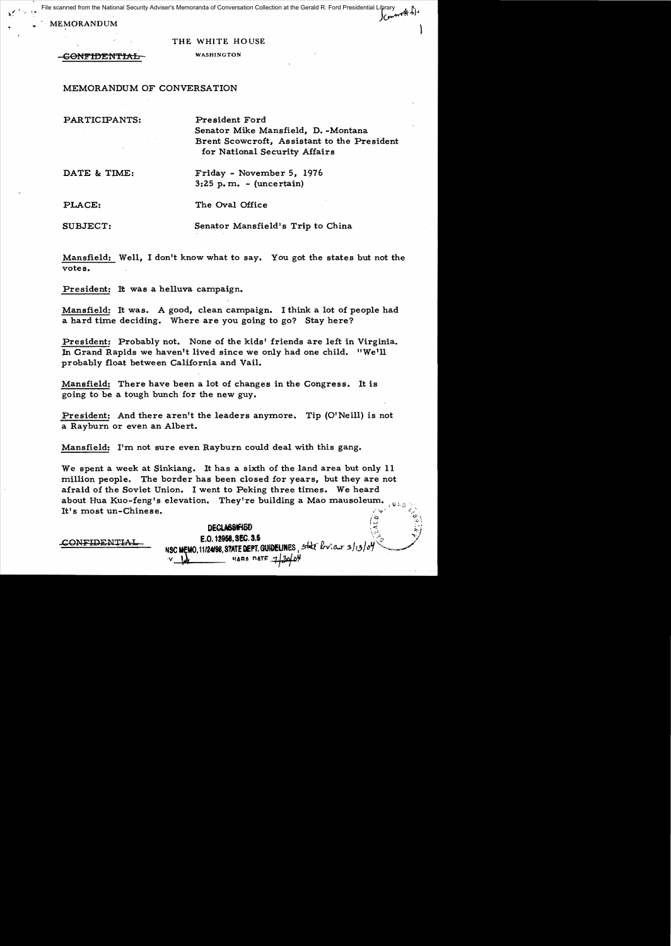File scanned from the National Security Adviser's Memoranda of Conversation Collection at the Gerald R. Ford Presidential Library<br>A Al

MEMORANDUM

#### THE WHITE HOUSE

GONFIDENTIAL WASHINGTON

MEMORANDUM OF CONVERSATION

PARTICIPANTS: President Ford

Senator Mike Mansfield, D. -Montana Brent Scowcroft, Assistant to the President for National Security Affairs

DATE & TIME: Friday - November 5, 1976  $3:25$  p.m. - (uncertain)

PLACE: The Oval Office

SUBJECT: Senator Mansfield's Trip to China

Mansfield: Well, I don't know what to say. You got the states but not the votes.

President: It was a helluva campaign.

Mansfield: It was. A good, clean campaign. I think a lot of people had a hard time deciding. Where are you going to go? Stay here?

President: Probably not. None of the kids' friends are left in Virginia. In Grand Rapids we haven't lived since we only had one child. "We'll probably float between California and Vail.

Mansfield: There have been a lot of changes in the Congress. It is going to be a tough bunch for the new guy.

President: And there aren't the leaders anymore. Tip (0' Neill) is not a Rayburn or even an Albert.

Mansfield: I'm not sure even Rayburn could deal with this gang.

We spent a week at Sinkiang. It has a sixth of the land area but only 11 million people. The border has been closed for years, but they are not afraid of the Soviet Union. I went to Peking three times. We heard about Hua Kuo-feng's elevation. They're building a Mao mausoleum. It's most un-Chinese. DECLASSIFIED<br>DECLASSIFIED<br>C 19050 950 9.6

 $NSC$  WEMO, 11/24/98, STATE DEPT. GUIDELINES, state  $l_{\text{tot}}$  .  $d_{\text{tot}}$   $d_{\text{tot}}$   $d_{\text{tot}}$ 

 $CL$ ASSIFIED  $\begin{bmatrix} \frac{1}{2} & \cdots & \frac{1}{2} \end{bmatrix}$ 

CONFIDENTIAL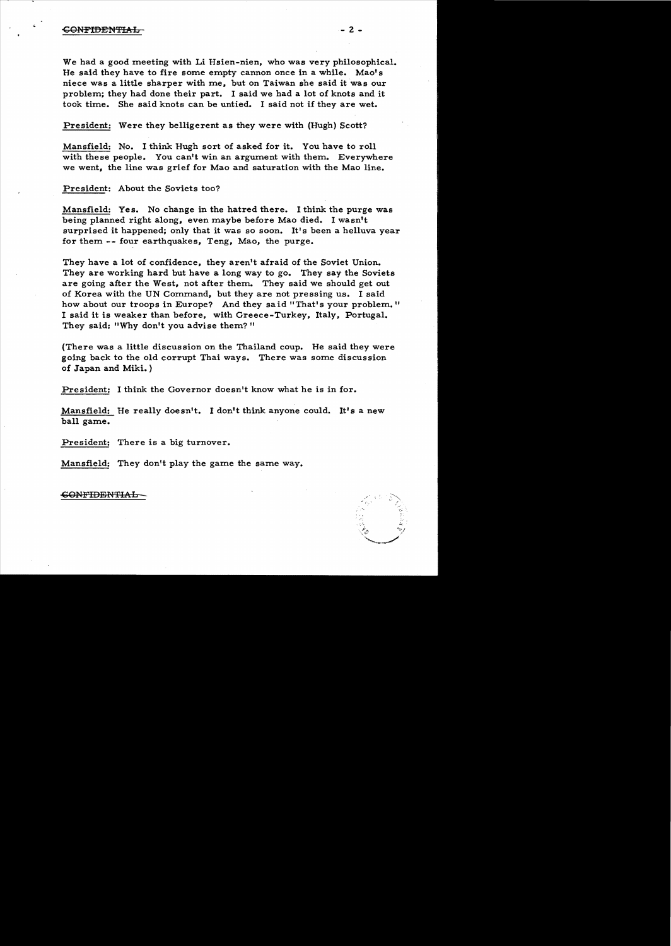### -CONFIDENTIAL - 2

We had a good meeting with Li Hsien-nien, who was very philosophical. He said they have to fire some empty cannon once in a while. Mao's niece was a little sharper with me, but on Taiwan she said it was our problem; they had done their part. I said we had a lot of knots and it took time. She said knots can be untied. I said not if they are wet.

# President: Were they belligerent as they were with (Hugh) Scott?

Mansfield: No. I think Hugh sort of asked for it. You have to roll with these people. You can't win an argument with them. Everywhere we went, the line was grief for Mao and saturation with the Mao line.

President: About the Soviets too?

Mansfield: Yes. No change in the hatred there. I think the purge was being planned right along, even maybe before Mao died. I wasn't surprised it happened; only that it was so soon. It's been a helluva year for them -- four earthquakes, Teng, Mao, the purge.

They have a lot of confidence, they aren't afraid of the Soviet Union. They are working hard but have a long way to go. They say the Soviets are going after the West, not after them. They said we should get out of Korea with the UN Command, but they are not pressing us. I said how about our troops in Europe? And they said "That's your problem." I said it is weaker than before, with Greece-Turkey, Italy, Portugal. They said: "Why don't you advise them?"

(There was a little discussion on the Thailand coup. He said they were going back to the old corrupt Thai ways. There was some discussion of Japan and Miki.)

President: I think the Governor doesn't know what he is in for.

Mansfield: He really doesn't. I don't think anyone could. **It's** a new ball game.

President: There is a big turnover.

Mansfield: They don't play the game the same way.

# **CONFIDENTIAL**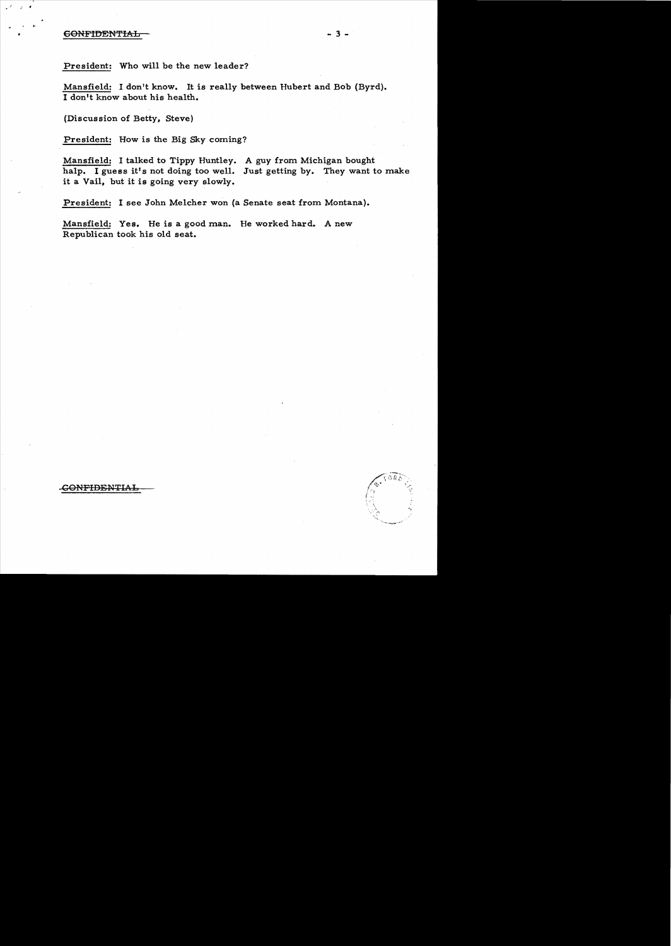# CONFIDENTIAL - 3

.. .

. .,

President: Who will be the new leader?

Mansfield: I don't know. It is really between Hubert and Bob (Byrd). I don't know about his health.

(Discussion of Betty, Steve)

President: How is the Big Sky coming?

Mansfield: I talked to Tippy Huntley. A guy from Michigan bought halp. I guess it's not doing too well. Just getting by. They want to make it a Vail, but it is going very slowly.

President: I see John Melcher won (a Senate seat from Montana).

Mansfield: Yes. He is a good man. He worked hard. A new Republican took his old seat.

.G<del>ONFIDENTIAL</del>

-.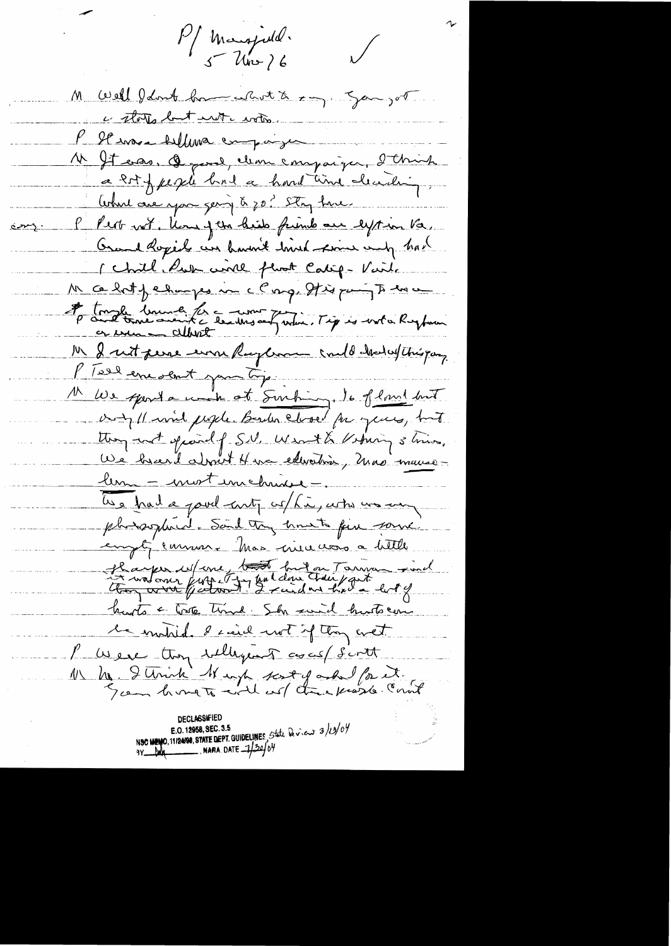Pf Mangjuld.

 $\bigvee$ 

M Well I don't have chost to say song or c states but unt crote. l'Il ensui bellevra empaigne N It erro, Q quel, clean compaign, d'Chinh a 2st fugli bril a hard time clearly What one you gering & zo? Stry have P Pert not, lone of the bids friends our lyst in Va. Orand Rogers an haven't have from any had I chill how will floot Calif - Vaile M ce laty changes no c Cong, It is puring to love la tough université de une judice l'ignée une hughmen Mr le reit perse une Rugban could chalatthérogen l'Isel encoent par tip. M We spenta with at Surhing, 16 flowed but any 11 mil people Bender closed for yours, but they not opinal of S.V. What & Vehing shine. We heard about 4 ma extendion, mas maures lem = mort un chine = les had a pour contr co/ha, arte un au phosphird. Said try hometo fin some empt, environt has much a bittle Hayer Mone, tout huit au Tarrier sind hunts a toste time Sh suid husts can le mobile d'ind not if they wet l'usere tron sillagent avas s'intt 1) he I think It up scoty and for it. NSC WENO, 11/24/98, STATE DEPT. GUIDELINES, State Deview 3/13/04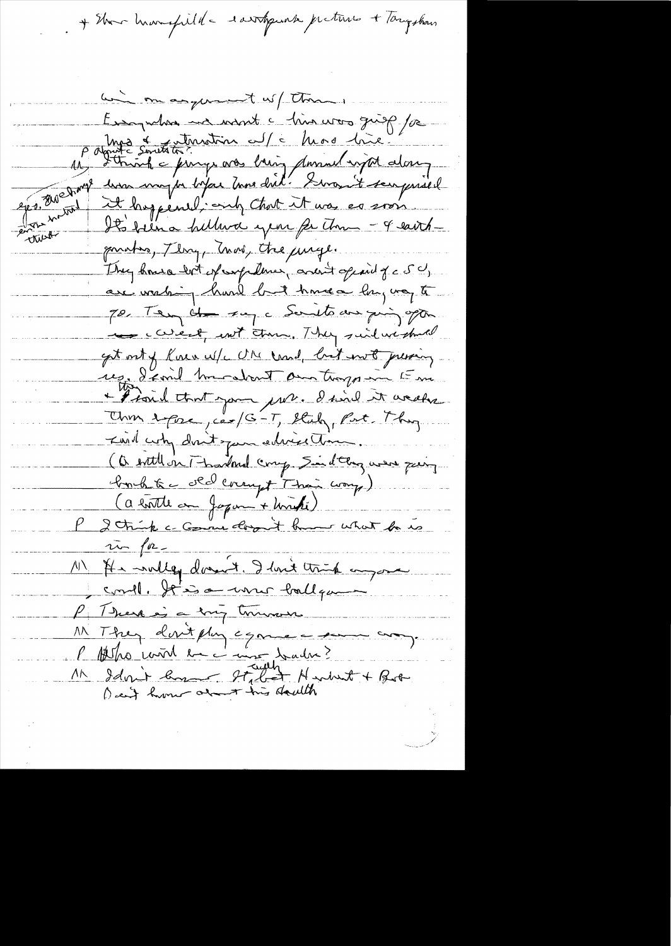+ Show humafulle dartgunk preture + Tangshow

him on anyward w/ than ... Pagnite singuration of a him was given for It's film a hillwa year for the - 4 earthan inde gonatos, Thry Tras, the jurge. They house but experificatives, and it opened of a SC, are wrating hard but homea long nog to 70, Ten de sa c Sauto au qui optim they careful and then, They suid we should get out of Rain W/c ON card, but into pressing. res, d'emil mendant au troys in Em + I said that you pour. I said it weeks Unin 2 pour, car/G-T, Stuby, Part, Thy Ind why don't jun edwedling (a entitl on Thankind comp. Sind they were pery bonhte de lorry + Than worry) (a bottle on Japan + Unité) P 2 trip c comme dont hum what he is 1) It willey données. I lout trip anyone  $\frac{1}{n}$  for could. It is a une ballque P There is a song tournous M They devit plus égance - soume ans.<br>P Alho mod en court tadre?<br>M Idmit long Italiet Herbert + Both